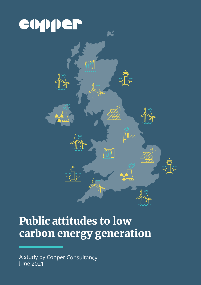# copper



Ľ

777)

## Public attitudes to low carbon energy generation

A study by Copper Consultancy June 2021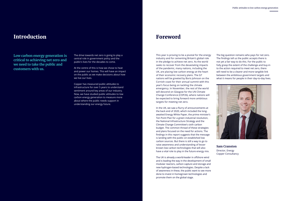#### Introduction

The drive towards net zero is going to play a central role in government policy and the public's lives for the decades to come.

At the centre of this is how we chose to heat and power our homes. This will have an impact on the public as we make decisions about how we live our lives.

Copper has measured public attitudes to infrastructure for over 5 years to understand sentiment around key areas of our industry. Now, we have studied public attitudes to low carbon energy generation to measure more about where the public needs support in understanding our energy future.

**Low carbon energy generation is critical to achieving net zero and we need to take the public and customers with us.**

The big question remains who pays for net zero. The findings tell us the public accepts there is not yet a fair way to do this. For the public to fully grasp the extent of the challenge and buy-in to the action required to meet net zero, there will need to be a clearer and more tangible link between the ambitious government targets and what it means for people in their day-to-day lives.



#### Foreword

This year is proving to be a pivotal for the energy industry and for cementing Britain's global role in the pledge to achieve net zero. As the world seeks to recover from the devastating impacts of the pandemic, many nations, including the UK, are placing low carbon energy at the heart of their economic recovery plans. The G7 nations will be greeted by Boris Johnson on the Cornish coast for their annual summit with this year's focus being on tackling the climate emergency. In November, the rest of the world will descend on Glasgow for the UN Climate Change Conference (COP26), where nations will be expected to bring forward more ambitious targets for meeting net zero.

In the UK, we saw a flurry of announcements at the back end of 2020, which included the longawaited Energy White Paper, the prime minister's Ten Point Plan for a green industrial revolution, the National Infrastructure Strategy and the Climate Change Committee's sixth carbon budget. The common thread of these strategies and plans focused on the need for actions. The findings in this report suggests that the message is landing with the public on established low carbon sources. But there is still a way to go to raise awareness and understanding of lesser known low carbon technologies that will also have a vital role to play in the future energy mix.

The UK is already a world-leader in offshore wind and is leading the way in the development of small modular reactors, carbon capture and storage and new hydrogen-based technologies. Despite a lack of awareness in these, the public want to see more done to invest in homegrown technologies and promote them on the global stage.

**Sam Cranston** Director, Energy Copper Consultancy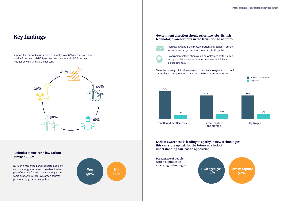

### Key findings

Support for renewables is strong, especially solar (49 per cent), offshore wind (49 per cent) tidal (38 per cent) and onshore wind (30 per cent). Nuclear power stands at 20 per cent.

Nuclear is recognised and supported as a low carbon energy source and considered to be part of the UK's future. It does not enjoy the same support as other low carbon sources promoted by government policy.

#### **Government direction should prioritise jobs, British technologies and exports in the transition to net zero**



High quality jobs is the most important key benefit from the low carbon energy transition according to the public.



Government intervention would be welcomed by the public to support British low carbon technologies which have export potential.

There is currently minimal awareness of new technologies which could deliver high quality jobs and transition the UK to a net zero future.

**Lack of awareness is leading to apathy in new technologies – this can store up risk for the future as a lack of understanding can lead to opposition**

> Hydrogen gas 52%





## **Attitudes to nuclear a low carbon**

**with no opinion on emerging technologies**



**Carbon capture** 

**and storage**



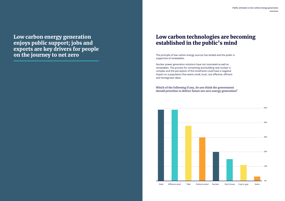Low carbon energy generation enjoys public support; jobs and exports are key drivers for people on the journey to net zero<br>The principle of low carbon energy sources has landed and the public is

supportive of renewables.

Nuclear power generation solutions have not resonated as well as renewables. The process for consenting and building new nuclear is complex and the perception of this timeframe could have a negative impact on a population that wants small, local, cost effective, efficient and homegrown ideas.

### Low carbon technologies are becoming established in the public's mind

**Which of the following if any, do you think the government should prioritise to deliver future net zero energy generation?**

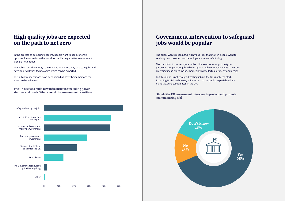**The UK needs to build new infrastructure including power stations and roads. What should the government prioritise?**



In the process of delivering net zero, people want to see economic opportunities arise from the transition. Achieving a better environment alone is not enough.

The public sees the energy revolution as an opportunity to create jobs and develop new British technologies which can be exported.

The public's expectations have been raised as have their ambitions for what can be achieved.

### High quality jobs are expected on the path to net zero

The public wants meaningful, high value jobs that matter; people want to see long term prospects and employment in manufacturing.

The transition to net zero jobs in the UK is seen as an opportunity. In particular, people want jobs which support high content concepts – new and emerging ideas which include homegrown intellectual property and design.

But this alone is not enough. Creating jobs in the UK is only the start. Exporting British technology is important to the public, especially where manufacturing takes places in the UK.

### Government intervention to safeguard jobs would be popular

#### **Should the UK government intervene to protect and promote manufacturing job?**

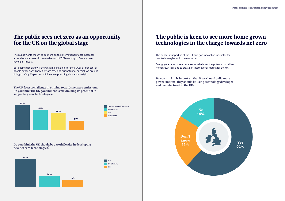**The UK faces a challenge in striving towards net zero emissions. Do you think the UK government is maximising its potential in supporting new technologies?**

### The public sees net zero as an opportunity for the UK on the global stage

**Do you think the UK should be a world leader in developing new net zero technologies?**

The public wants the UK to do more on the international stage; messages around our successes in renewables and COP26 coming to Scotland are having an impact.

But people don't know if the UK is making an difference. Over 51 per cent of people either don't know if we are reaching our potential or think we are not doing so. Only 13 per cent think we are punching above our weight.





Yes but we could do more

 $\overline{N}$ 

Don't know

Yes we are



The public is supportive of the UK being an innovative incubator for new technologies which can exported.

Energy generation is seen as a sector which has the potential to deliver homegrown jobs and to create an international market for the UK.

### The public is keen to see more home grown technologies in the charge towards net zero

**Do you think it is important that if we should build more power stations, they should be using technology developed and manufactured in the UK?**

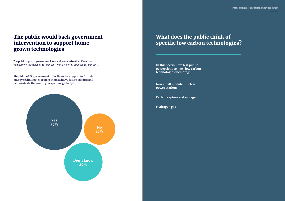### What does the public think of specific low carbon technologies?

**In this section, we test public perceptions to new, low carbon technologies including:**

**New small modular nuclear power stations**

**Carbon capture and storage**

**Hydrogen gas**

The public supports government intervention to enable the UK to export homegrown technologies (57 per cent) with a minority opposed (17 per cent).



### The public would back government intervention to support home grown technologies

**Should the UK government offer financial support to British energy technologies to help them achieve future exports and demonstrate the country's expertise globally?**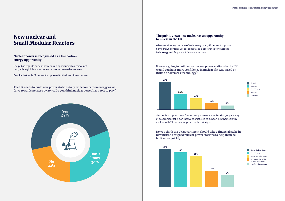#### **Nuclear power is recognised as a low carbon energy opportunity**

The public regards nuclear power as an opportunity to achieve net zero, although it is not as popular as some renewable sources.

Despite that, only 22 per cent is opposed to the idea of new nuclear.

#### New nuclear and Small Modular Reactors

**The UK needs to build new power stations to provide low carbon energy as we drive towards net zero by 2050. Do you think nuclear power has a role to play?**



#### **The public views new nuclear as an opportunity to invest in the UK**

When considering the type of technology used, 43 per cent supports homegrown content. Six per cent stated a preference for overseas technology and 24 per cent favours a mixture.



**If we are going to build more nuclear power stations in the UK, would you have more confidence in nuclear if it was based on British or overseas technology?**

**Do you think the UK government should take a financial stake in new British designed nuclear power stations to help them be built more quickly.**

The public's support goes further. People are open to the idea (53 per cent) of government taking an interventionist step to support new homegrown nuclear with 21 per cent opposed to the principle.

> Yes, a limited stake Yes, a majority stake Don't know No, should be led by private companies No, for other reasons







British Don't know A mixture Neither Overseas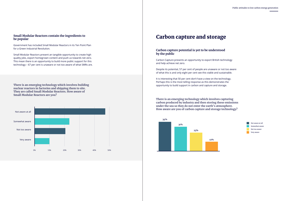



#### **Small Modular Reactors contain the ingredients to be popular**

Government has included Small Modular Reactors in its Ten Point Plan for a Green Industrial Revolution.

Small Modular Reactors present an tangible opportunity to create high quality jobs, export homegrown content and push us towards net zero. This mean there is an opportunity to build more public support for this technology – 67 per cent is unaware or not too aware of what SMRs are.

**There is an emerging technology which involves building nuclear reactors in factories and shipping them to site. They are called Small Modular Reactors. How aware of Small Modular Reactors are you?**



#### **Carbon capture potential is yet to be understood by the public**

Carbon Capture presents an opportunity to export British technology and help achieve net zero.

Despite its potential, 57 per cent of people are unaware or not too aware of what this is and only eight per cent see this viable and sustainable.

It is interesting that 50 per cent don't have a view on the technology. Perhaps this is the most telling response as this demonstrates the opportunity to build support in carbon and capture and storage.

#### Carbon capture and storage

**There is an emerging technology which involves capturing carbon produced by industry and then storing these emissions under the sea so they do not enter the earth's atmosphere. How aware are you of carbon capture and storage technology?**



Not aware at all Not too aware Somewhat aware Very aware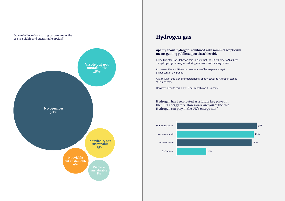**Do you believe that storing carbon under the sea is a viable and sustainable option?**



#### **Apathy about hydrogen, combined with minimal scepticism means gaining public support is achievable**

Prime Minister Boris Johnson said in 2020 that the UK will place a "big bet" on hydrogen gas as way of reducing emissions and heating homes.

At present there is little or no awareness of hydrogen amongst 58 per cent of the public.

As a result of this lack of understanding, apathy towards hydrogen stands at 51 per cent.

However, despite this, only 15 per cent thinks it is unsafe.

### Hydrogen gas

**Hydrogen has been touted as a future key player in the UK's energy mix. How aware are you of the role Hydrogen can play in the UK's energy mix?**

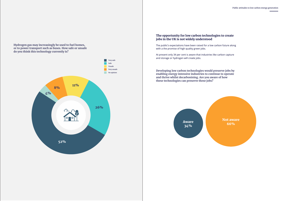**Hydrogen gas may increasingly be used to fuel homes, or to power transport such as buses. How safe or unsafe do you think this technology currently is?**



#### **The opportunity for low carbon technologies to create jobs in the UK is not widely understood**

Not aware Aware Nut awa

The public's expectations have been raised for a low carbon future along with a the promise of high quality green jobs.

At present only 34 per cent is aware that industries like carbon capture and storage or hydrogen will create jobs.

**Developing low carbon technologies would preserve jobs by enabling energy intensive industries to continue to operate and thrive whilst decarbonising. Are you aware of how these technologies can preserve these jobs?**

34%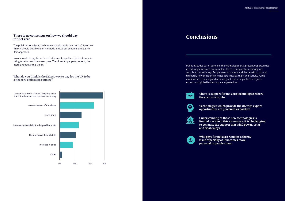#### **There is no consensus on how we should pay for net zero**

The public is not aligned on how we should pay for net zero - 23 per cent think it should be a blend of methods and 29 per cent feel there is no fair approach.

No one route to pay for net zero is the most popular – the least popular being taxation and then user pays. The closer to people's pockets, the more unpopular the choice.



#### **What do you think is the fairest way to pay for the UK to be a net zero emissions country?**



### Conclusions

**There is support for net zero technologies where they can create jobs**



**Technologies which provide the UK with export opportunities are perceived as positive**



**Understanding of these new technologies is limited – without this awareness, it is challenging to generate the support that wind power, solar** 

**and tidal enjoys**



**Who pays for net zero remains a thorny issue especially as it becomes more personal to peoples lives**

Public attitudes to net zero and the technologies that present opportunities in reducing emissions are complex. There is support for achieving net zero, but context is key. People want to understand the benefits, risk and ultimately how the journey to net zero impacts them and society. Public ambition stretches beyond achieving net zero as a goal in itself; jobs, exports and global leadership are expected too.